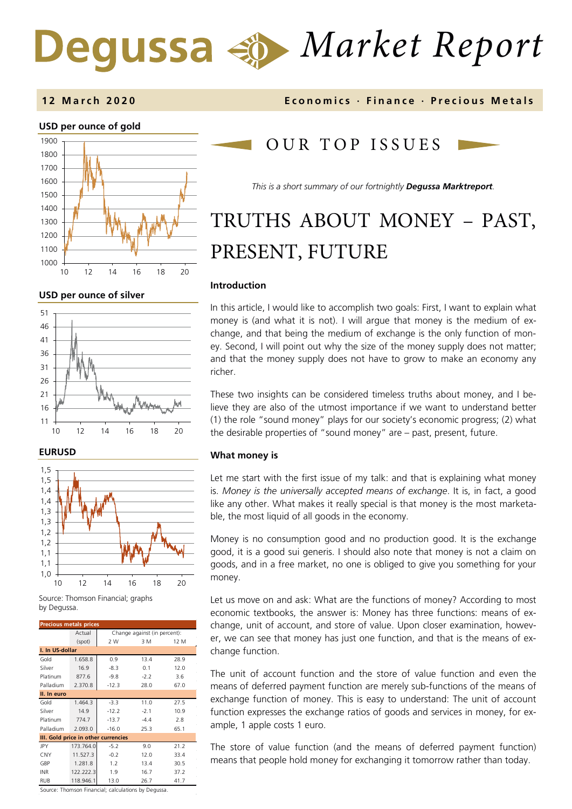# Degussa  $\triangleleft \hat{p}$ *Market Report*



#### **USD per ounce of silver**







Source: Thomson Financial; graphs by Degussa.

| <b>Precious metals prices</b>       |           |                              |        |      |  |  |  |  |
|-------------------------------------|-----------|------------------------------|--------|------|--|--|--|--|
|                                     | Actual    | Change against (in percent): |        |      |  |  |  |  |
|                                     | (spot)    | 2 W<br>3 M<br>12 M           |        |      |  |  |  |  |
| I. In US-dollar                     |           |                              |        |      |  |  |  |  |
| Gold                                | 1.658.8   | 0.9                          | 13.4   | 28.9 |  |  |  |  |
| Silver                              | 16.9      | $-8.3$                       | 0.1    | 12.0 |  |  |  |  |
| Platinum                            | 877.6     | $-9.8$                       | $-2.2$ | 3.6  |  |  |  |  |
| Palladium                           | 2.370.8   | $-12.3$                      | 28.0   | 67.0 |  |  |  |  |
| II. In euro                         |           |                              |        |      |  |  |  |  |
| Gold                                | 1.464.3   | $-3.3$                       | 11.0   | 27.5 |  |  |  |  |
| Silver                              | 14.9      | $-12.2$                      | $-2.1$ | 10.9 |  |  |  |  |
| Platinum                            | 774.7     | $-13.7$                      | $-4.4$ | 2.8  |  |  |  |  |
| Palladium                           | 2.093.0   | $-16.0$                      | 25.3   | 65.1 |  |  |  |  |
| III. Gold price in other currencies |           |                              |        |      |  |  |  |  |
| JPY                                 | 173.764.0 | $-5.2$                       | 9.0    | 21.2 |  |  |  |  |
| CNY                                 | 11.527.3  | $-0.2$                       | 12.0   | 33.4 |  |  |  |  |
| GBP                                 | 1.281.8   | 1.2                          | 13.4   | 30.5 |  |  |  |  |
| <b>INR</b>                          | 122.222.3 | 1.9                          | 16.7   | 37.2 |  |  |  |  |
| <b>RUB</b>                          | 118.946.1 | 13.0                         | 26.7   | 41.7 |  |  |  |  |

Source: Thomson Financial; calculations by Degussa.

### **12 March 2020 Economics · Finance · Precious M etals**

## OUR TOP ISSUE S

*This is a short summary of our fortnightly Degussa Marktreport.*

## TRUTHS ABOUT MONEY – PAST, PRESENT, FUTURE

#### **Introduction**

In this article, I would like to accomplish two goals: First, I want to explain what money is (and what it is not). I will argue that money is the medium of exchange, and that being the medium of exchange is the only function of money. Second, I will point out why the size of the money supply does not matter; and that the money supply does not have to grow to make an economy any richer.

These two insights can be considered timeless truths about money, and I believe they are also of the utmost importance if we want to understand better (1) the role "sound money" plays for our society's economic progress; (2) what the desirable properties of "sound money" are – past, present, future.

#### **What money is**

Let me start with the first issue of my talk: and that is explaining what money is. *Money is the universally accepted means of exchange*. It is, in fact, a good like any other. What makes it really special is that money is the most marketable, the most liquid of all goods in the economy.

Money is no consumption good and no production good. It is the exchange good, it is a good sui generis. I should also note that money is not a claim on goods, and in a free market, no one is obliged to give you something for your money.

Let us move on and ask: What are the functions of money? According to most economic textbooks, the answer is: Money has three functions: means of exchange, unit of account, and store of value. Upon closer examination, however, we can see that money has just one function, and that is the means of exchange function.

The unit of account function and the store of value function and even the means of deferred payment function are merely sub-functions of the means of exchange function of money. This is easy to understand: The unit of account function expresses the exchange ratios of goods and services in money, for example, 1 apple costs 1 euro.

The store of value function (and the means of deferred payment function) means that people hold money for exchanging it tomorrow rather than today.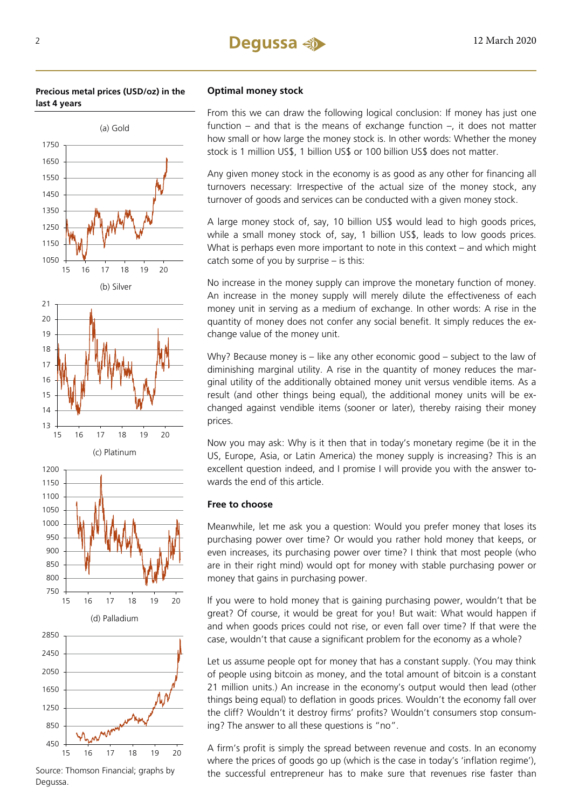#### **Precious metal prices (USD/oz) in the last 4 years**



Source: Thomson Financial; graphs by Degussa.

#### **Optimal money stock**

From this we can draw the following logical conclusion: If money has just one function – and that is the means of exchange function  $-$ , it does not matter how small or how large the money stock is. In other words: Whether the money stock is 1 million US\$, 1 billion US\$ or 100 billion US\$ does not matter.

Any given money stock in the economy is as good as any other for financing all turnovers necessary: Irrespective of the actual size of the money stock, any turnover of goods and services can be conducted with a given money stock.

A large money stock of, say, 10 billion US\$ would lead to high goods prices, while a small money stock of, say, 1 billion US\$, leads to low goods prices. What is perhaps even more important to note in this context – and which might catch some of you by surprise – is this:

No increase in the money supply can improve the monetary function of money. An increase in the money supply will merely dilute the effectiveness of each money unit in serving as a medium of exchange. In other words: A rise in the quantity of money does not confer any social benefit. It simply reduces the exchange value of the money unit.

Why? Because money is – like any other economic good – subject to the law of diminishing marginal utility. A rise in the quantity of money reduces the marginal utility of the additionally obtained money unit versus vendible items. As a result (and other things being equal), the additional money units will be exchanged against vendible items (sooner or later), thereby raising their money prices.

Now you may ask: Why is it then that in today's monetary regime (be it in the US, Europe, Asia, or Latin America) the money supply is increasing? This is an excellent question indeed, and I promise I will provide you with the answer towards the end of this article.

#### **Free to choose**

Meanwhile, let me ask you a question: Would you prefer money that loses its purchasing power over time? Or would you rather hold money that keeps, or even increases, its purchasing power over time? I think that most people (who are in their right mind) would opt for money with stable purchasing power or money that gains in purchasing power.

If you were to hold money that is gaining purchasing power, wouldn't that be great? Of course, it would be great for you! But wait: What would happen if and when goods prices could not rise, or even fall over time? If that were the case, wouldn't that cause a significant problem for the economy as a whole?

Let us assume people opt for money that has a constant supply. (You may think of people using bitcoin as money, and the total amount of bitcoin is a constant 21 million units.) An increase in the economy's output would then lead (other things being equal) to deflation in goods prices. Wouldn't the economy fall over the cliff? Wouldn't it destroy firms' profits? Wouldn't consumers stop consuming? The answer to all these questions is "no".

A firm's profit is simply the spread between revenue and costs. In an economy where the prices of goods go up (which is the case in today's 'inflation regime'), the successful entrepreneur has to make sure that revenues rise faster than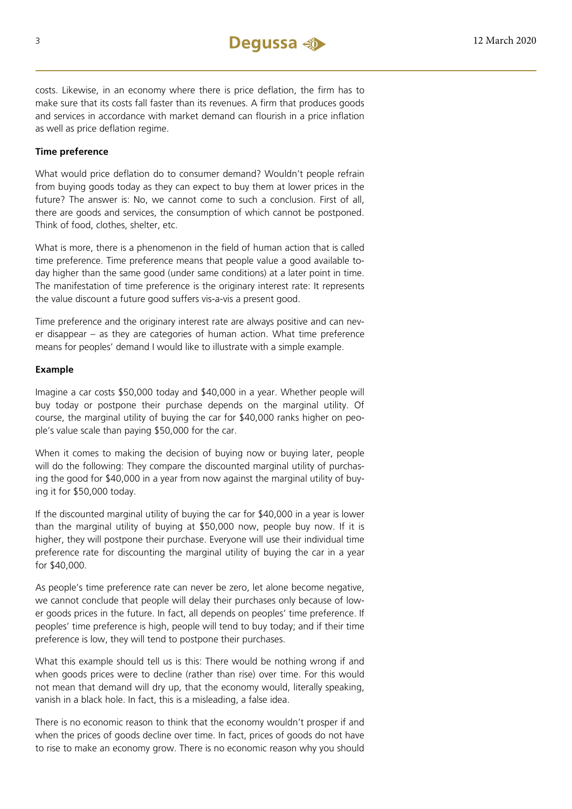costs. Likewise, in an economy where there is price deflation, the firm has to make sure that its costs fall faster than its revenues. A firm that produces goods and services in accordance with market demand can flourish in a price inflation as well as price deflation regime.

#### **Time preference**

What would price deflation do to consumer demand? Wouldn't people refrain from buying goods today as they can expect to buy them at lower prices in the future? The answer is: No, we cannot come to such a conclusion. First of all, there are goods and services, the consumption of which cannot be postponed. Think of food, clothes, shelter, etc.

What is more, there is a phenomenon in the field of human action that is called time preference. Time preference means that people value a good available today higher than the same good (under same conditions) at a later point in time. The manifestation of time preference is the originary interest rate: It represents the value discount a future good suffers vis-a-vis a present good.

Time preference and the originary interest rate are always positive and can never disappear – as they are categories of human action. What time preference means for peoples' demand I would like to illustrate with a simple example.

#### **Example**

Imagine a car costs \$50,000 today and \$40,000 in a year. Whether people will buy today or postpone their purchase depends on the marginal utility. Of course, the marginal utility of buying the car for \$40,000 ranks higher on people's value scale than paying \$50,000 for the car.

When it comes to making the decision of buying now or buying later, people will do the following: They compare the discounted marginal utility of purchasing the good for \$40,000 in a year from now against the marginal utility of buying it for \$50,000 today.

If the discounted marginal utility of buying the car for \$40,000 in a year is lower than the marginal utility of buying at \$50,000 now, people buy now. If it is higher, they will postpone their purchase. Everyone will use their individual time preference rate for discounting the marginal utility of buying the car in a year for \$40,000.

As people's time preference rate can never be zero, let alone become negative, we cannot conclude that people will delay their purchases only because of lower goods prices in the future. In fact, all depends on peoples' time preference. If peoples' time preference is high, people will tend to buy today; and if their time preference is low, they will tend to postpone their purchases.

What this example should tell us is this: There would be nothing wrong if and when goods prices were to decline (rather than rise) over time. For this would not mean that demand will dry up, that the economy would, literally speaking, vanish in a black hole. In fact, this is a misleading, a false idea.

There is no economic reason to think that the economy wouldn't prosper if and when the prices of goods decline over time. In fact, prices of goods do not have to rise to make an economy grow. There is no economic reason why you should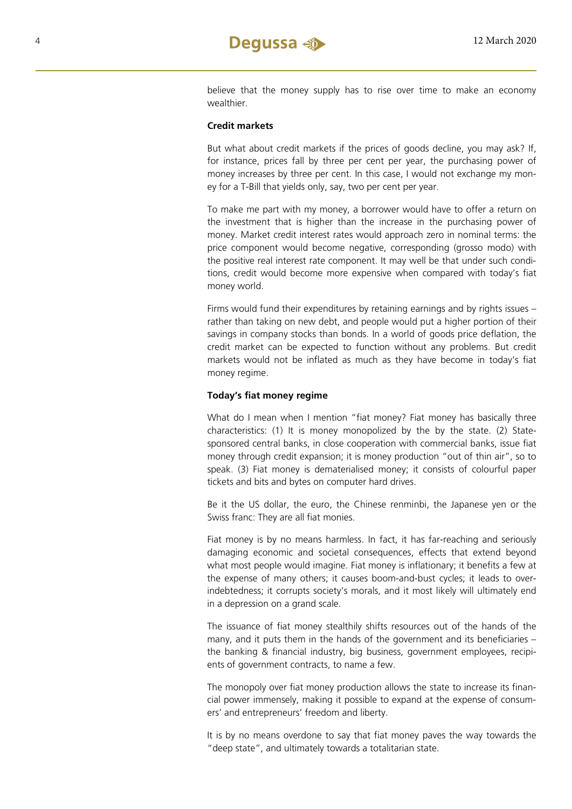believe that the money supply has to rise over time to make an economy wealthier.

#### **Credit markets**

But what about credit markets if the prices of goods decline, you may ask? If, for instance, prices fall by three per cent per year, the purchasing power of money increases by three per cent. In this case, I would not exchange my money for a T-Bill that yields only, say, two per cent per year.

To make me part with my money, a borrower would have to offer a return on the investment that is higher than the increase in the purchasing power of money. Market credit interest rates would approach zero in nominal terms: the price component would become negative, corresponding (grosso modo) with the positive real interest rate component. It may well be that under such conditions, credit would become more expensive when compared with today's fiat money world.

Firms would fund their expenditures by retaining earnings and by rights issues – rather than taking on new debt, and people would put a higher portion of their savings in company stocks than bonds. In a world of goods price deflation, the credit market can be expected to function without any problems. But credit markets would not be inflated as much as they have become in today's fiat money regime.

#### **Today's fiat money regime**

What do I mean when I mention "fiat money? Fiat money has basically three characteristics: (1) It is money monopolized by the by the state. (2) Statesponsored central banks, in close cooperation with commercial banks, issue fiat money through credit expansion; it is money production "out of thin air", so to speak. (3) Fiat money is dematerialised money; it consists of colourful paper tickets and bits and bytes on computer hard drives.

Be it the US dollar, the euro, the Chinese renminbi, the Japanese yen or the Swiss franc: They are all fiat monies.

Fiat money is by no means harmless. In fact, it has far-reaching and seriously damaging economic and societal consequences, effects that extend beyond what most people would imagine. Fiat money is inflationary; it benefits a few at the expense of many others; it causes boom-and-bust cycles; it leads to overindebtedness; it corrupts society's morals, and it most likely will ultimately end in a depression on a grand scale.

The issuance of fiat money stealthily shifts resources out of the hands of the many, and it puts them in the hands of the government and its beneficiaries – the banking & financial industry, big business, government employees, recipients of government contracts, to name a few.

The monopoly over fiat money production allows the state to increase its financial power immensely, making it possible to expand at the expense of consumers' and entrepreneurs' freedom and liberty.

It is by no means overdone to say that fiat money paves the way towards the "deep state", and ultimately towards a totalitarian state.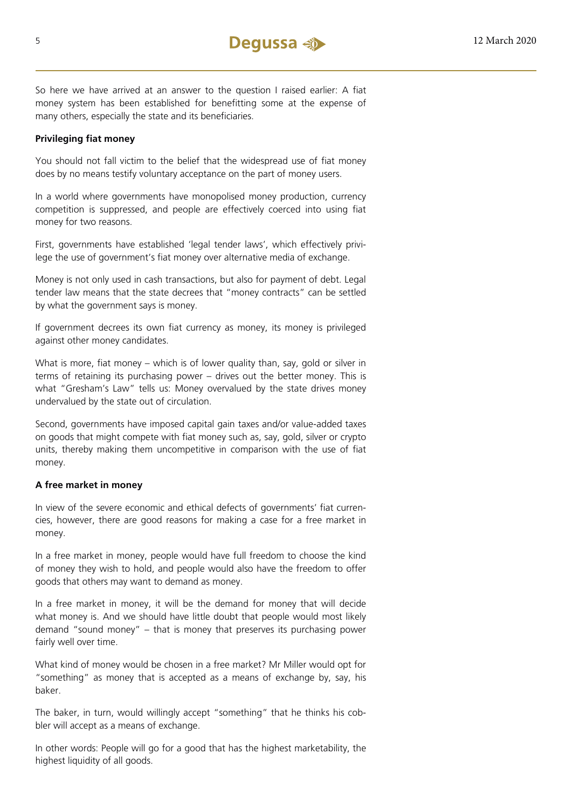

So here we have arrived at an answer to the question I raised earlier: A fiat money system has been established for benefitting some at the expense of many others, especially the state and its beneficiaries.

#### **Privileging fiat money**

You should not fall victim to the belief that the widespread use of fiat money does by no means testify voluntary acceptance on the part of money users.

In a world where governments have monopolised money production, currency competition is suppressed, and people are effectively coerced into using fiat money for two reasons.

First, governments have established 'legal tender laws', which effectively privilege the use of government's fiat money over alternative media of exchange.

Money is not only used in cash transactions, but also for payment of debt. Legal tender law means that the state decrees that "money contracts" can be settled by what the government says is money.

If government decrees its own fiat currency as money, its money is privileged against other money candidates.

What is more, fiat money – which is of lower quality than, say, gold or silver in terms of retaining its purchasing power – drives out the better money. This is what "Gresham's Law" tells us: Money overvalued by the state drives money undervalued by the state out of circulation.

Second, governments have imposed capital gain taxes and/or value-added taxes on goods that might compete with fiat money such as, say, gold, silver or crypto units, thereby making them uncompetitive in comparison with the use of fiat money.

#### **A free market in money**

In view of the severe economic and ethical defects of governments' fiat currencies, however, there are good reasons for making a case for a free market in money.

In a free market in money, people would have full freedom to choose the kind of money they wish to hold, and people would also have the freedom to offer goods that others may want to demand as money.

In a free market in money, it will be the demand for money that will decide what money is. And we should have little doubt that people would most likely demand "sound money" – that is money that preserves its purchasing power fairly well over time.

What kind of money would be chosen in a free market? Mr Miller would opt for "something" as money that is accepted as a means of exchange by, say, his baker.

The baker, in turn, would willingly accept "something" that he thinks his cobbler will accept as a means of exchange.

In other words: People will go for a good that has the highest marketability, the highest liquidity of all goods.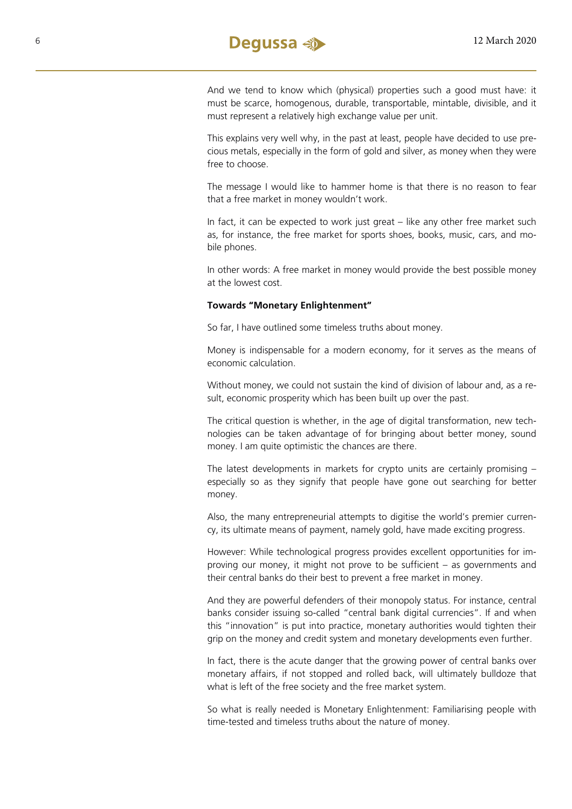

And we tend to know which (physical) properties such a good must have: it must be scarce, homogenous, durable, transportable, mintable, divisible, and it must represent a relatively high exchange value per unit.

This explains very well why, in the past at least, people have decided to use precious metals, especially in the form of gold and silver, as money when they were free to choose.

The message I would like to hammer home is that there is no reason to fear that a free market in money wouldn't work.

In fact, it can be expected to work just great – like any other free market such as, for instance, the free market for sports shoes, books, music, cars, and mobile phones.

In other words: A free market in money would provide the best possible money at the lowest cost.

#### **Towards "Monetary Enlightenment"**

So far, I have outlined some timeless truths about money.

Money is indispensable for a modern economy, for it serves as the means of economic calculation.

Without money, we could not sustain the kind of division of labour and, as a result, economic prosperity which has been built up over the past.

The critical question is whether, in the age of digital transformation, new technologies can be taken advantage of for bringing about better money, sound money. I am quite optimistic the chances are there.

The latest developments in markets for crypto units are certainly promising – especially so as they signify that people have gone out searching for better money.

Also, the many entrepreneurial attempts to digitise the world's premier currency, its ultimate means of payment, namely gold, have made exciting progress.

However: While technological progress provides excellent opportunities for improving our money, it might not prove to be sufficient – as governments and their central banks do their best to prevent a free market in money.

And they are powerful defenders of their monopoly status. For instance, central banks consider issuing so-called "central bank digital currencies". If and when this "innovation" is put into practice, monetary authorities would tighten their grip on the money and credit system and monetary developments even further.

In fact, there is the acute danger that the growing power of central banks over monetary affairs, if not stopped and rolled back, will ultimately bulldoze that what is left of the free society and the free market system.

So what is really needed is Monetary Enlightenment: Familiarising people with time-tested and timeless truths about the nature of money.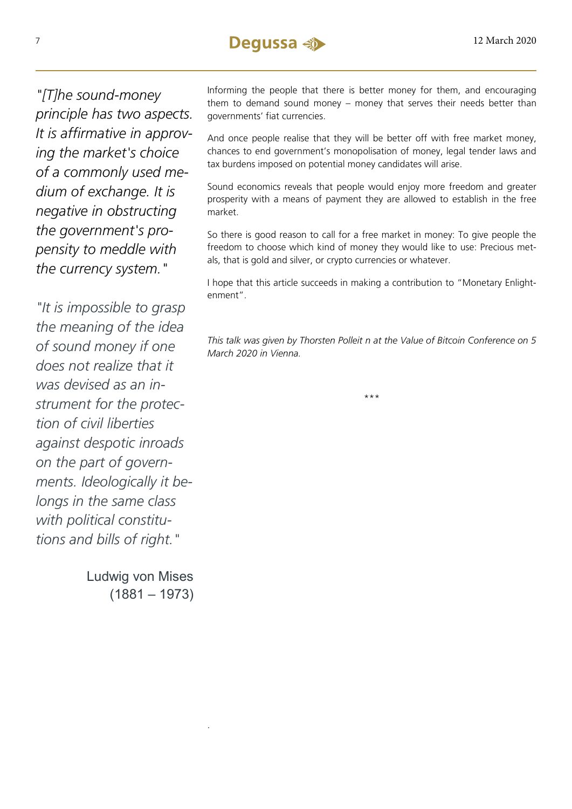*"[T]he sound-money principle has two aspects. It is affirmative in approving the market's choice of a commonly used medium of exchange. It is negative in obstructing the government's propensity to meddle with the currency system."*

*"It is impossible to grasp the meaning of the idea of sound money if one does not realize that it was devised as an instrument for the protection of civil liberties against despotic inroads on the part of governments. Ideologically it belongs in the same class with political constitutions and bills of right."*

> Ludwig von Mises  $(1881 - 1973)$

> > .

Informing the people that there is better money for them, and encouraging them to demand sound money – money that serves their needs better than governments' fiat currencies.

And once people realise that they will be better off with free market money, chances to end government's monopolisation of money, legal tender laws and tax burdens imposed on potential money candidates will arise.

Sound economics reveals that people would enjoy more freedom and greater prosperity with a means of payment they are allowed to establish in the free market.

So there is good reason to call for a free market in money: To give people the freedom to choose which kind of money they would like to use: Precious metals, that is gold and silver, or crypto currencies or whatever.

I hope that this article succeeds in making a contribution to "Monetary Enlightenment".

*This talk was given by Thorsten Polleit n at the Value of Bitcoin Conference on 5 March 2020 in Vienna.* 

\*\*\*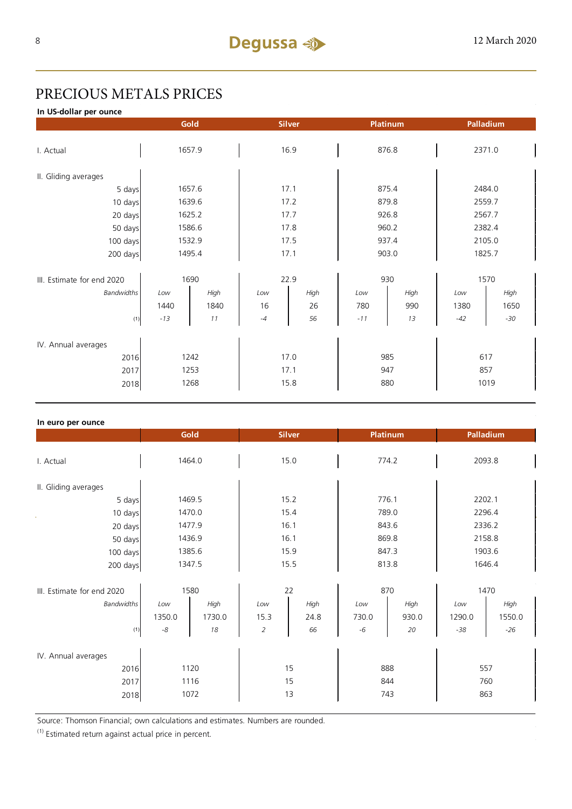## PRECIOUS METALS PRICES

**In US-dollar per ounce**

|                            |        | Gold   |      | <b>Silver</b><br><b>Platinum</b> |       | Palladium |        |       |
|----------------------------|--------|--------|------|----------------------------------|-------|-----------|--------|-------|
|                            |        |        |      |                                  |       |           |        |       |
| I. Actual                  | 1657.9 |        | 16.9 |                                  | 876.8 |           | 2371.0 |       |
| II. Gliding averages       |        |        |      |                                  |       |           |        |       |
| 5 days                     |        | 1657.6 | 17.1 |                                  | 875.4 |           | 2484.0 |       |
| 10 days                    |        | 1639.6 | 17.2 |                                  | 879.8 |           | 2559.7 |       |
| 20 days                    |        | 1625.2 | 17.7 |                                  | 926.8 |           | 2567.7 |       |
| 50 days                    | 1586.6 |        | 17.8 |                                  | 960.2 |           | 2382.4 |       |
| 100 days                   | 1532.9 |        | 17.5 |                                  | 937.4 |           | 2105.0 |       |
| 200 days                   | 1495.4 |        | 17.1 |                                  | 903.0 |           | 1825.7 |       |
| III. Estimate for end 2020 | 1690   |        | 22.9 |                                  | 930   |           | 1570   |       |
| <b>Bandwidths</b>          | Low    | High   | Low  | High                             | Low   | High      | Low    | High  |
|                            | 1440   | 1840   | 16   | 26                               | 780   | 990       | 1380   | 1650  |
| (1)                        | $-13$  | 11     | $-4$ | 56                               | $-11$ | 13        | $-42$  | $-30$ |
| IV. Annual averages        |        |        |      |                                  |       |           |        |       |
| 2016                       | 1242   |        | 17.0 |                                  | 985   |           | 617    |       |
| 2017                       | 1253   |        | 17.1 |                                  | 947   |           | 857    |       |
| 2018                       | 1268   |        | 15.8 |                                  | 880   |           | 1019   |       |

| In euro per ounce          |        |        |                |      |                 |       |           |        |  |
|----------------------------|--------|--------|----------------|------|-----------------|-------|-----------|--------|--|
|                            | Gold   |        | <b>Silver</b>  |      | <b>Platinum</b> |       | Palladium |        |  |
|                            |        |        |                |      |                 |       |           |        |  |
| I. Actual                  | 1464.0 |        | 15.0           |      | 774.2           |       | 2093.8    |        |  |
|                            |        |        |                |      |                 |       |           |        |  |
| II. Gliding averages       |        |        |                |      |                 |       |           |        |  |
| 5 days                     | 1469.5 |        | 15.2           |      | 776.1           |       | 2202.1    |        |  |
| 10 days                    | 1470.0 |        | 15.4           |      | 789.0           |       | 2296.4    |        |  |
| 20 days                    | 1477.9 |        | 16.1           |      | 843.6           |       | 2336.2    |        |  |
| 50 days                    | 1436.9 |        | 16.1           |      | 869.8           |       | 2158.8    |        |  |
| 100 days                   | 1385.6 |        | 15.9           |      | 847.3           |       | 1903.6    |        |  |
| 200 days                   | 1347.5 |        | 15.5           |      | 813.8           |       | 1646.4    |        |  |
|                            |        |        |                |      |                 |       |           |        |  |
| III. Estimate for end 2020 | 1580   |        | 22             |      | 870             |       | 1470      |        |  |
| <b>Bandwidths</b>          | Low    | High   | Low            | High | Low             | High  | Low       | High   |  |
|                            | 1350.0 | 1730.0 | 15.3           | 24.8 | 730.0           | 930.0 | 1290.0    | 1550.0 |  |
| (1)                        | -8     | 18     | $\overline{2}$ | 66   | $-6$            | 20    | $-38$     | $-26$  |  |
|                            |        |        |                |      |                 |       |           |        |  |
| IV. Annual averages        |        |        |                |      |                 |       |           |        |  |
| 2016                       | 1120   |        | 15             |      | 888             |       | 557       |        |  |
| 2017                       | 1116   |        | 15             |      | 844             |       | 760       |        |  |
| 2018                       |        | 1072   | 13             |      |                 | 743   |           | 863    |  |
|                            |        |        |                |      |                 |       |           |        |  |

Source: Thomson Financial; own calculations and estimates. Numbers are rounded.

 $(1)$  Estimated return against actual price in percent.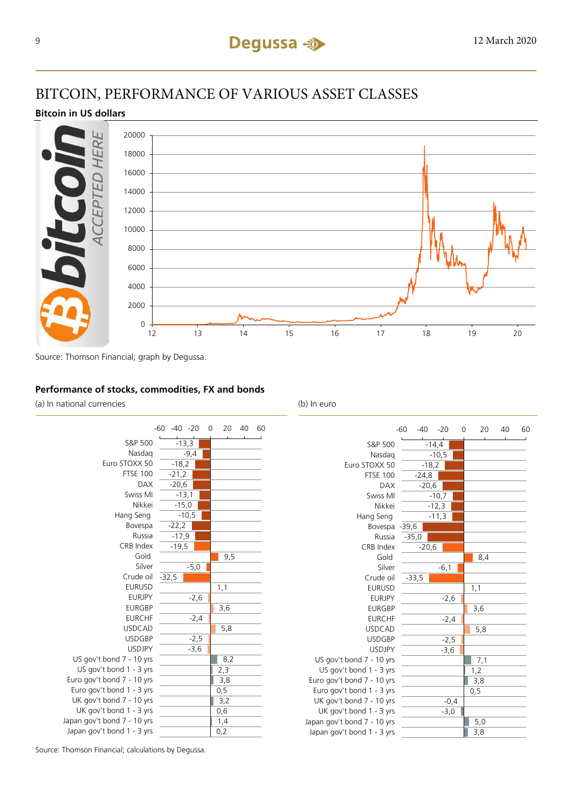## BITCOIN, PERFORMANCE OF VARIOUS ASSET CLASSES

#### **Bitcoin in US dollars**



Source: Thomson Financial; graph by Degussa.

#### **Performance of stocks, commodities, FX and bonds**

(a) In national currencies (b) In euro



Japan

|                            | $-60$   | -40     | $-20$   | 0      | 20  | 40 | 60 |
|----------------------------|---------|---------|---------|--------|-----|----|----|
|                            |         |         |         |        |     |    |    |
| S&P 500                    |         |         | $-14,4$ |        |     |    |    |
| Nasdag                     |         | $-10,5$ |         |        |     |    |    |
| Euro STOXX 50              |         | $-18,2$ |         |        |     |    |    |
| <b>FTSE 100</b>            |         | $-24,8$ |         |        |     |    |    |
| <b>DAX</b>                 |         | $-20,6$ |         |        |     |    |    |
| Swiss MI                   |         |         | $-10,7$ |        |     |    |    |
| Nikkei                     |         |         | $-12,3$ |        |     |    |    |
| Hang Seng                  |         |         | $-11,3$ |        |     |    |    |
| Bovespa                    | $-39,6$ |         |         |        |     |    |    |
| Russia                     | $-35,0$ |         |         |        |     |    |    |
| CRB Index                  |         | $-20,6$ |         |        |     |    |    |
| Gold                       |         |         |         |        | 8,4 |    |    |
| Silver                     |         |         | $-6,1$  |        |     |    |    |
| Crude oil                  | $-33,5$ |         |         |        |     |    |    |
| <b>EURUSD</b>              |         |         |         |        | 1,1 |    |    |
| <b>EURJPY</b>              |         |         | $-2,6$  |        |     |    |    |
| <b>EURGBP</b>              |         |         |         |        | 3,6 |    |    |
| <b>EURCHF</b>              |         |         | $-2,4$  |        |     |    |    |
| <b>USDCAD</b>              |         |         |         |        | 5,8 |    |    |
| <b>USDGBP</b>              |         |         | $-2,5$  |        |     |    |    |
| <b>USDJPY</b>              |         |         | $-3,6$  |        |     |    |    |
| US gov't bond 7 - 10 yrs   |         |         |         |        | 7,1 |    |    |
| US gov't bond 1 - 3 yrs    |         |         |         |        | 1,2 |    |    |
| Euro gov't bond 7 - 10 yrs |         |         |         |        | 3,8 |    |    |
| Euro gov't bond 1 - 3 yrs  |         |         |         |        | 0,5 |    |    |
| UK gov't bond 7 - 10 yrs   |         |         |         | $-0,4$ |     |    |    |
| UK gov't bond 1 - 3 yrs    |         |         | $-3,0$  |        |     |    |    |
| apan gov't bond 7 - 10 yrs |         |         |         |        | 5,0 |    |    |
| Japan gov't bond 1 - 3 yrs |         |         |         |        | 3,8 |    |    |

Source: Thomson Financial; calculations by Degussa.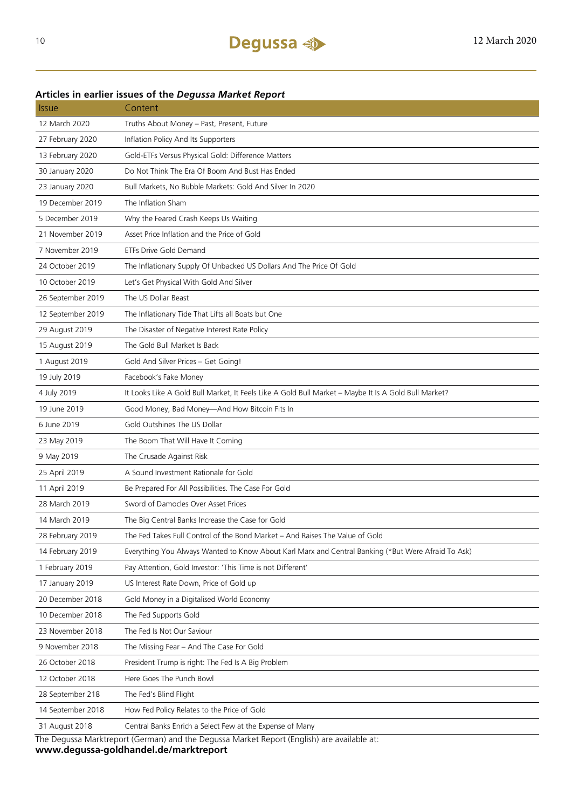### Issue Content 12 March 2020 Truths About Money – Past, Present, Future 27 February 2020 Inflation Policy And Its Supporters 13 February 2020 Gold-ETFs Versus Physical Gold: Difference Matters 30 January 2020 Do Not Think The Era Of Boom And Bust Has Ended 23 January 2020 Bull Markets, No Bubble Markets: Gold And Silver In 2020 19 December 2019 The Inflation Sham 5 December 2019 Why the Feared Crash Keeps Us Waiting 21 November 2019 Asset Price Inflation and the Price of Gold 7 November 2019 ETFs Drive Gold Demand 24 October 2019 The Inflationary Supply Of Unbacked US Dollars And The Price Of Gold 10 October 2019 Let's Get Physical With Gold And Silver 26 September 2019 The US Dollar Beast 12 September 2019 The Inflationary Tide That Lifts all Boats but One 29 August 2019 The Disaster of Negative Interest Rate Policy 15 August 2019 The Gold Bull Market Is Back 1 August 2019 Gold And Silver Prices – Get Going! 19 July 2019 Facebook's Fake Money 4 July 2019 It Looks Like A Gold Bull Market, It Feels Like A Gold Bull Market – Maybe It Is A Gold Bull Market? 19 June 2019 Good Money, Bad Money—And How Bitcoin Fits In 6 June 2019 Gold Outshines The US Dollar 23 May 2019 The Boom That Will Have It Coming 9 May 2019 The Crusade Against Risk 25 April 2019 A Sound Investment Rationale for Gold 11 April 2019 Be Prepared For All Possibilities. The Case For Gold 28 March 2019 Sword of Damocles Over Asset Prices 14 March 2019 The Big Central Banks Increase the Case for Gold 28 February 2019 The Fed Takes Full Control of the Bond Market – And Raises The Value of Gold 14 February 2019 Everything You Always Wanted to Know About Karl Marx and Central Banking (\*But Were Afraid To Ask) 1 February 2019 Pay Attention, Gold Investor: 'This Time is not Different' 17 January 2019 US Interest Rate Down, Price of Gold up 20 December 2018 Gold Money in a Digitalised World Economy 10 December 2018 The Fed Supports Gold 23 November 2018 The Fed Is Not Our Saviour 9 November 2018 The Missing Fear – And The Case For Gold 26 October 2018 President Trump is right: The Fed Is A Big Problem 12 October 2018 Here Goes The Punch Bowl 28 September 218 The Fed's Blind Flight 14 September 2018 How Fed Policy Relates to the Price of Gold 31 August 2018 Central Banks Enrich a Select Few at the Expense of Many

#### **Articles in earlier issues of the** *Degussa Market Report*

The Degussa Marktreport (German) and the Degussa Market Report (English) are available at: **www.degussa-goldhandel.de/marktreport**